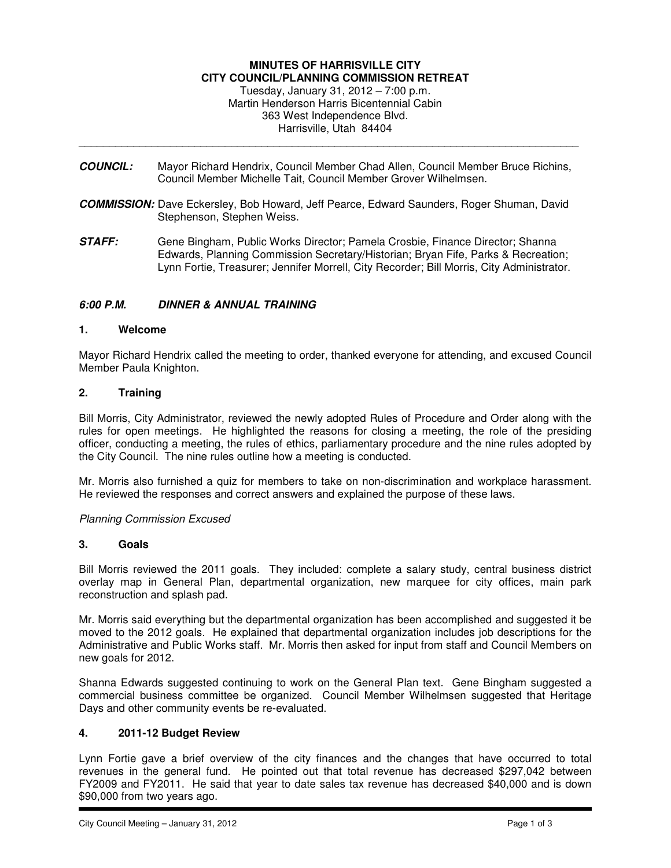#### **MINUTES OF HARRISVILLE CITY CITY COUNCIL/PLANNING COMMISSION RETREAT**

Tuesday, January 31, 2012 – 7:00 p.m. Martin Henderson Harris Bicentennial Cabin 363 West Independence Blvd. Harrisville, Utah 84404

**COUNCIL:** Mayor Richard Hendrix, Council Member Chad Allen, Council Member Bruce Richins, Council Member Michelle Tait, Council Member Grover Wilhelmsen.

\_\_\_\_\_\_\_\_\_\_\_\_\_\_\_\_\_\_\_\_\_\_\_\_\_\_\_\_\_\_\_\_\_\_\_\_\_\_\_\_\_\_\_\_\_\_\_\_\_\_\_\_\_\_\_\_\_\_\_\_\_\_\_\_\_\_\_\_\_\_\_\_\_\_\_\_\_\_\_\_\_\_

- **COMMISSION:** Dave Eckersley, Bob Howard, Jeff Pearce, Edward Saunders, Roger Shuman, David Stephenson, Stephen Weiss.
- **STAFF:** Gene Bingham, Public Works Director; Pamela Crosbie, Finance Director; Shanna Edwards, Planning Commission Secretary/Historian; Bryan Fife, Parks & Recreation; Lynn Fortie, Treasurer; Jennifer Morrell, City Recorder; Bill Morris, City Administrator.

### **6:00 P.M. DINNER & ANNUAL TRAINING**

#### **1. Welcome**

Mayor Richard Hendrix called the meeting to order, thanked everyone for attending, and excused Council Member Paula Knighton.

### **2. Training**

Bill Morris, City Administrator, reviewed the newly adopted Rules of Procedure and Order along with the rules for open meetings. He highlighted the reasons for closing a meeting, the role of the presiding officer, conducting a meeting, the rules of ethics, parliamentary procedure and the nine rules adopted by the City Council. The nine rules outline how a meeting is conducted.

Mr. Morris also furnished a quiz for members to take on non-discrimination and workplace harassment. He reviewed the responses and correct answers and explained the purpose of these laws.

### Planning Commission Excused

#### **3. Goals**

Bill Morris reviewed the 2011 goals. They included: complete a salary study, central business district overlay map in General Plan, departmental organization, new marquee for city offices, main park reconstruction and splash pad.

Mr. Morris said everything but the departmental organization has been accomplished and suggested it be moved to the 2012 goals. He explained that departmental organization includes job descriptions for the Administrative and Public Works staff. Mr. Morris then asked for input from staff and Council Members on new goals for 2012.

Shanna Edwards suggested continuing to work on the General Plan text. Gene Bingham suggested a commercial business committee be organized. Council Member Wilhelmsen suggested that Heritage Days and other community events be re-evaluated.

### **4. 2011-12 Budget Review**

Lynn Fortie gave a brief overview of the city finances and the changes that have occurred to total revenues in the general fund. He pointed out that total revenue has decreased \$297,042 between FY2009 and FY2011. He said that year to date sales tax revenue has decreased \$40,000 and is down \$90,000 from two years ago.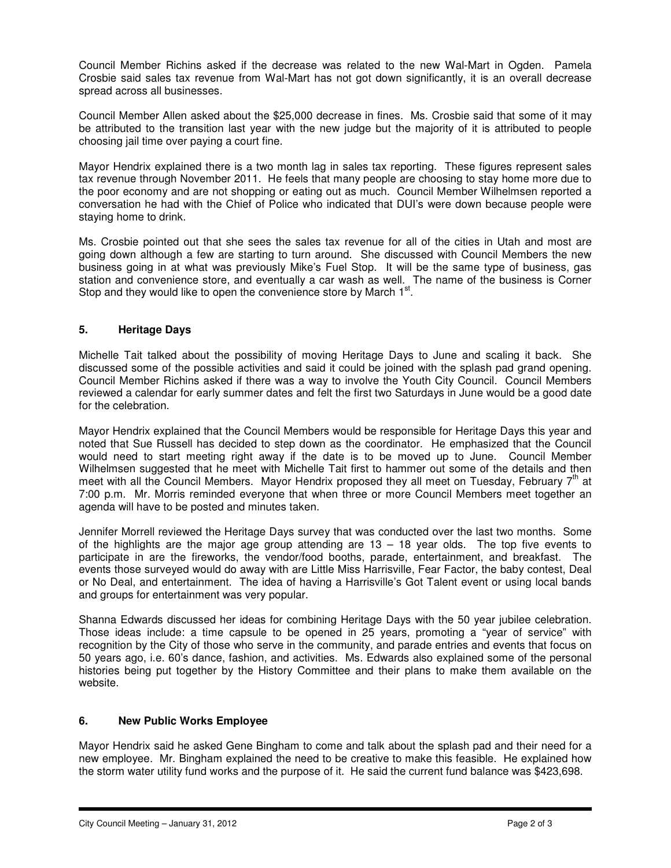Council Member Richins asked if the decrease was related to the new Wal-Mart in Ogden. Pamela Crosbie said sales tax revenue from Wal-Mart has not got down significantly, it is an overall decrease spread across all businesses.

Council Member Allen asked about the \$25,000 decrease in fines. Ms. Crosbie said that some of it may be attributed to the transition last year with the new judge but the majority of it is attributed to people choosing jail time over paying a court fine.

Mayor Hendrix explained there is a two month lag in sales tax reporting. These figures represent sales tax revenue through November 2011. He feels that many people are choosing to stay home more due to the poor economy and are not shopping or eating out as much. Council Member Wilhelmsen reported a conversation he had with the Chief of Police who indicated that DUI's were down because people were staying home to drink.

Ms. Crosbie pointed out that she sees the sales tax revenue for all of the cities in Utah and most are going down although a few are starting to turn around. She discussed with Council Members the new business going in at what was previously Mike's Fuel Stop. It will be the same type of business, gas station and convenience store, and eventually a car wash as well. The name of the business is Corner Stop and they would like to open the convenience store by March  $1<sup>st</sup>$ .

# **5. Heritage Days**

Michelle Tait talked about the possibility of moving Heritage Days to June and scaling it back. She discussed some of the possible activities and said it could be joined with the splash pad grand opening. Council Member Richins asked if there was a way to involve the Youth City Council. Council Members reviewed a calendar for early summer dates and felt the first two Saturdays in June would be a good date for the celebration.

Mayor Hendrix explained that the Council Members would be responsible for Heritage Days this year and noted that Sue Russell has decided to step down as the coordinator. He emphasized that the Council would need to start meeting right away if the date is to be moved up to June. Council Member Wilhelmsen suggested that he meet with Michelle Tait first to hammer out some of the details and then meet with all the Council Members. Mayor Hendrix proposed they all meet on Tuesday, February 7th at 7:00 p.m. Mr. Morris reminded everyone that when three or more Council Members meet together an agenda will have to be posted and minutes taken.

Jennifer Morrell reviewed the Heritage Days survey that was conducted over the last two months. Some of the highlights are the major age group attending are  $13 - 18$  year olds. The top five events to participate in are the fireworks, the vendor/food booths, parade, entertainment, and breakfast. The events those surveyed would do away with are Little Miss Harrisville, Fear Factor, the baby contest, Deal or No Deal, and entertainment. The idea of having a Harrisville's Got Talent event or using local bands and groups for entertainment was very popular.

Shanna Edwards discussed her ideas for combining Heritage Days with the 50 year jubilee celebration. Those ideas include: a time capsule to be opened in 25 years, promoting a "year of service" with recognition by the City of those who serve in the community, and parade entries and events that focus on 50 years ago, i.e. 60's dance, fashion, and activities. Ms. Edwards also explained some of the personal histories being put together by the History Committee and their plans to make them available on the website.

# **6. New Public Works Employee**

Mayor Hendrix said he asked Gene Bingham to come and talk about the splash pad and their need for a new employee. Mr. Bingham explained the need to be creative to make this feasible. He explained how the storm water utility fund works and the purpose of it. He said the current fund balance was \$423,698.